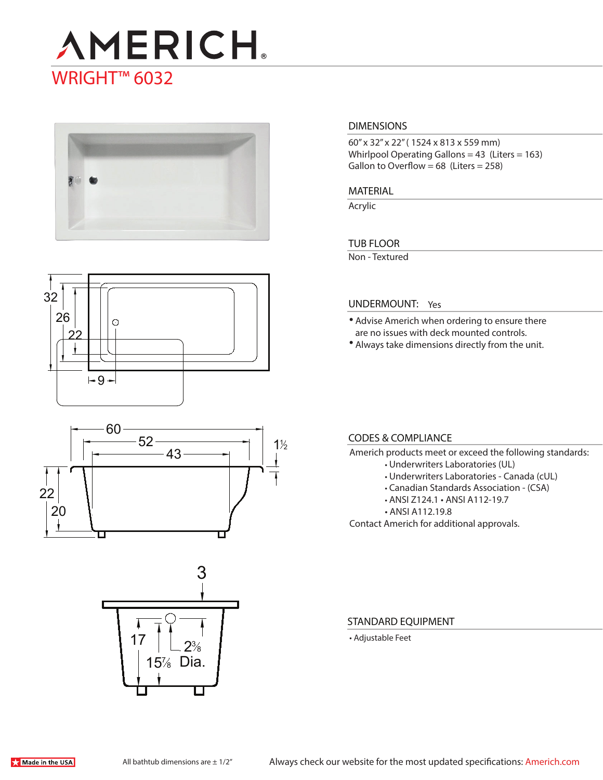# **AMERICH** WRIGHT<sup>™</sup> 6032



# **DIMENSIONS**

60" x 32" x 22" ( 1524 x 813 x 559 mm) Whirlpool Operating Gallons =  $43$  (Liters =  $163$ ) Gallon to Overflow =  $68$  (Liters =  $258$ )

#### **MATERIAL**

Acrylic

# **TUB FLOOR**

Non - Textured







### **UNDERMOUNT:** Yes

- Advise Americh when ordering to ensure there are no issues with deck mounted controls.
- Always take dimensions directly from the unit.

## **CODES & COMPLIANCE**

- Americh products meet or exceed the following standards:
	- Underwriters Laboratories (UL)
	- Underwriters Laboratories Canada (cUL)
	- Canadian Standards Association (CSA)
	- ANSI Z124.1 ANSI A112-19.7
	- ANSI A112.19.8

Contact Americh for additional approvals.

#### **STANDARD EQUIPMENT**

• Adjustable Feet